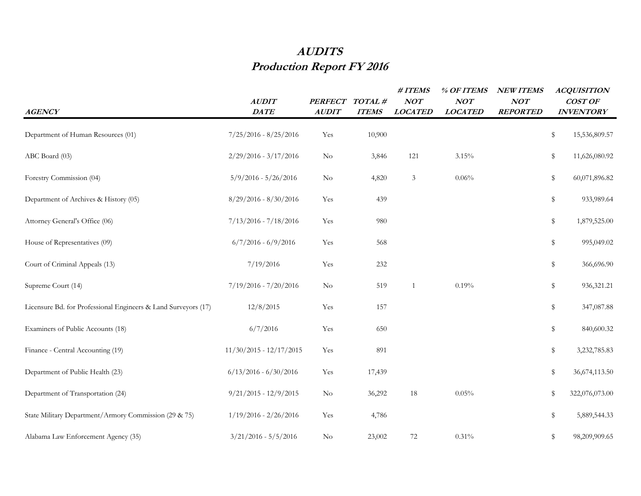## **AUDITS Production Report FY 2016**

| <b>AGENCY</b>                                                  | <b>AUDIT</b><br>DATE      | <b>PERFECT</b><br><b>AUDIT</b> | TOTAL#<br><b>ITEMS</b> | $\# ITEMS$<br>NOT<br><b>LOCATED</b> | % OF ITEMS<br>NOT<br><b>LOCATED</b> | <b>NEW ITEMS</b><br>NOT<br><b>REPORTED</b> | <b>ACQUISITION</b><br>COST OF<br><b>INVENTORY</b> |
|----------------------------------------------------------------|---------------------------|--------------------------------|------------------------|-------------------------------------|-------------------------------------|--------------------------------------------|---------------------------------------------------|
| Department of Human Resources (01)                             | $7/25/2016 - 8/25/2016$   | Yes                            | 10,900                 |                                     |                                     |                                            | \$<br>15,536,809.57                               |
| ABC Board (03)                                                 | $2/29/2016 - 3/17/2016$   | $\rm No$                       | 3,846                  | 121                                 | 3.15%                               |                                            | \$<br>11,626,080.92                               |
| Forestry Commission (04)                                       | $5/9/2016 - 5/26/2016$    | $\rm No$                       | 4,820                  | 3                                   | 0.06%                               |                                            | \$<br>60,071,896.82                               |
| Department of Archives & History (05)                          | $8/29/2016 - 8/30/2016$   | Yes                            | 439                    |                                     |                                     |                                            | \$<br>933,989.64                                  |
| Attorney General's Office (06)                                 | $7/13/2016 - 7/18/2016$   | Yes                            | 980                    |                                     |                                     |                                            | \$<br>1,879,525.00                                |
| House of Representatives (09)                                  | $6/7/2016 - 6/9/2016$     | Yes                            | 568                    |                                     |                                     |                                            | \$<br>995,049.02                                  |
| Court of Criminal Appeals (13)                                 | 7/19/2016                 | Yes                            | 232                    |                                     |                                     |                                            | \$<br>366,696.90                                  |
| Supreme Court (14)                                             | $7/19/2016 - 7/20/2016$   | N <sub>o</sub>                 | 519                    | $\overline{1}$                      | 0.19%                               |                                            | \$<br>936,321.21                                  |
| Licensure Bd. for Professional Engineers & Land Surveyors (17) | 12/8/2015                 | Yes                            | 157                    |                                     |                                     |                                            | \$<br>347,087.88                                  |
| Examiners of Public Accounts (18)                              | 6/7/2016                  | Yes                            | 650                    |                                     |                                     |                                            | \$<br>840,600.32                                  |
| Finance - Central Accounting (19)                              | $11/30/2015 - 12/17/2015$ | Yes                            | 891                    |                                     |                                     |                                            | \$<br>3,232,785.83                                |
| Department of Public Health (23)                               | $6/13/2016 - 6/30/2016$   | Yes                            | 17,439                 |                                     |                                     |                                            | \$<br>36,674,113.50                               |
| Department of Transportation (24)                              | $9/21/2015 - 12/9/2015$   | $\rm No$                       | 36,292                 | 18                                  | 0.05%                               |                                            | \$<br>322,076,073.00                              |
| State Military Department/Armory Commission (29 & 75)          | $1/19/2016 - 2/26/2016$   | Yes                            | 4,786                  |                                     |                                     |                                            | \$<br>5,889,544.33                                |
| Alabama Law Enforcement Agency (35)                            | $3/21/2016 - 5/5/2016$    | N <sub>o</sub>                 | 23,002                 | $72\,$                              | 0.31%                               |                                            | \$<br>98,209,909.65                               |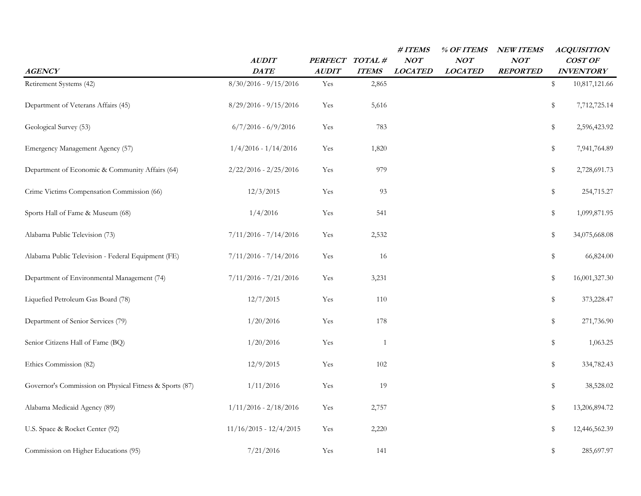| <b>AGENCY</b>                                           | AUDIT<br><b>DATE</b>     | PERFECT TOTAL #<br><b>AUDIT</b> | <b>ITEMS</b> | #ITEMS<br>NOT<br><b>LOCATED</b> | % OF ITEMS<br>NOT<br><b>LOCATED</b> | <b>NEW ITEMS</b><br>NOT<br><b>REPORTED</b> | <b>ACQUISITION</b><br>COST OF<br><b>INVENTORY</b> |
|---------------------------------------------------------|--------------------------|---------------------------------|--------------|---------------------------------|-------------------------------------|--------------------------------------------|---------------------------------------------------|
| Retirement Systems (42)                                 | $8/30/2016 - 9/15/2016$  | Yes                             | 2,865        |                                 |                                     |                                            | \$<br>10,817,121.66                               |
| Department of Veterans Affairs (45)                     | $8/29/2016 - 9/15/2016$  | Yes                             | 5,616        |                                 |                                     |                                            | \$<br>7,712,725.14                                |
| Geological Survey (53)                                  | $6/7/2016 - 6/9/2016$    | Yes                             | 783          |                                 |                                     |                                            | \$<br>2,596,423.92                                |
| Emergency Management Agency (57)                        | $1/4/2016 - 1/14/2016$   | Yes                             | 1,820        |                                 |                                     |                                            | \$<br>7,941,764.89                                |
| Department of Economic & Community Affairs (64)         | $2/22/2016 - 2/25/2016$  | Yes                             | 979          |                                 |                                     |                                            | \$<br>2,728,691.73                                |
| Crime Victims Compensation Commission (66)              | 12/3/2015                | Yes                             | 93           |                                 |                                     |                                            | \$<br>254,715.27                                  |
| Sports Hall of Fame & Museum (68)                       | 1/4/2016                 | Yes                             | 541          |                                 |                                     |                                            | \$<br>1,099,871.95                                |
| Alabama Public Television (73)                          | $7/11/2016 - 7/14/2016$  | Yes                             | 2,532        |                                 |                                     |                                            | \$<br>34,075,668.08                               |
| Alabama Public Television - Federal Equipment (FE)      | $7/11/2016 - 7/14/2016$  | Yes                             | 16           |                                 |                                     |                                            | \$<br>66,824.00                                   |
| Department of Environmental Management (74)             | $7/11/2016 - 7/21/2016$  | Yes                             | 3,231        |                                 |                                     |                                            | \$<br>16,001,327.30                               |
| Liquefied Petroleum Gas Board (78)                      | 12/7/2015                | Yes                             | 110          |                                 |                                     |                                            | \$<br>373,228.47                                  |
| Department of Senior Services (79)                      | 1/20/2016                | Yes                             | 178          |                                 |                                     |                                            | \$<br>271,736.90                                  |
| Senior Citizens Hall of Fame (BQ)                       | 1/20/2016                | Yes                             | $\mathbf{1}$ |                                 |                                     |                                            | \$<br>1,063.25                                    |
| Ethics Commission (82)                                  | 12/9/2015                | Yes                             | 102          |                                 |                                     |                                            | \$<br>334,782.43                                  |
| Governor's Commission on Physical Fitness & Sports (87) | 1/11/2016                | Yes                             | 19           |                                 |                                     |                                            | \$<br>38,528.02                                   |
| Alabama Medicaid Agency (89)                            | $1/11/2016 - 2/18/2016$  | Yes                             | 2,757        |                                 |                                     |                                            | \$<br>13,206,894.72                               |
| U.S. Space & Rocket Center (92)                         | $11/16/2015 - 12/4/2015$ | Yes                             | 2,220        |                                 |                                     |                                            | \$<br>12,446,562.39                               |
| Commission on Higher Educations (95)                    | 7/21/2016                | Yes                             | 141          |                                 |                                     |                                            | \$<br>285,697.97                                  |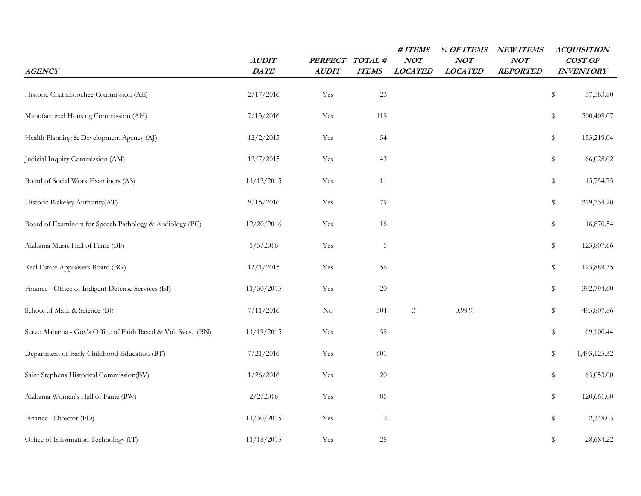| <b>AGENCY</b>                                                 | <b>AUDIT</b><br>DATE | <b>PERFECT</b><br><b>AUDIT</b> | TOTAL#<br><b>ITEMS</b> | #ITEMS<br>NOT<br><b>LOCATED</b> | % OF ITEMS<br>NOT<br><b>LOCATED</b> | <b>NEW ITEMS</b><br>NOT<br><b>REPORTED</b> | <b>ACQUISITION</b><br>COST OF<br><b>INVENTORY</b> |  |
|---------------------------------------------------------------|----------------------|--------------------------------|------------------------|---------------------------------|-------------------------------------|--------------------------------------------|---------------------------------------------------|--|
| Historic Chattahoochee Commission (AE)                        | 2/17/2016            | Yes                            | 23                     |                                 |                                     |                                            | $\,$<br>37,583.80                                 |  |
| Manufactured Housing Commission (AH)                          | 7/13/2016            | Yes                            | 118                    |                                 |                                     |                                            | \$<br>500,408.07                                  |  |
| Health Planning & Development Agency (AJ)                     | 12/2/2015            | Yes                            | 54                     |                                 |                                     |                                            | \$<br>153,219.04                                  |  |
| Judicial Inquiry Commission (AM)                              | 12/7/2015            | Yes                            | 43                     |                                 |                                     |                                            | \$<br>66,028.02                                   |  |
| Board of Social Work Examiners (AS)                           | 11/12/2015           | Yes                            | 11                     |                                 |                                     |                                            | 15,754.75<br>\$                                   |  |
| Historic Blakeley Authority(AT)                               | 9/15/2016            | Yes                            | 79                     |                                 |                                     |                                            | \$<br>379,734.20                                  |  |
| Board of Examiners for Speech Pathology & Audiology (BC)      | 12/20/2016           | Yes                            | 16                     |                                 |                                     |                                            | 16,870.54<br>\$                                   |  |
| Alabama Music Hall of Fame (BF)                               | 1/5/2016             | Yes                            | $\mathsf S$            |                                 |                                     |                                            | 123,807.66<br>\$                                  |  |
| Real Estate Appraisers Board (BG)                             | 12/1/2015            | Yes                            | 56                     |                                 |                                     |                                            | \$<br>123,889.35                                  |  |
| Finance - Office of Indigent Defense Services (BI)            | 11/30/2015           | Yes                            | $20\,$                 |                                 |                                     |                                            | \$<br>392,794.60                                  |  |
| School of Math & Science (BJ)                                 | 7/11/2016            | $\rm No$                       | 304                    | $\mathfrak{Z}$                  | $0.99\%$                            |                                            | 495,807.86<br>\$                                  |  |
| Serve Alabama - Gov's Office of Faith Based & Vol. Svcs. (BN) | 11/19/2015           | Yes                            | 58                     |                                 |                                     |                                            | 69,100.44<br>\$                                   |  |
| Department of Early Childhood Education (BT)                  | 7/21/2016            | Yes                            | 601                    |                                 |                                     |                                            | \$<br>1,493,125.32                                |  |
| Saint Stephens Historical Commission(BV)                      | 1/26/2016            | Yes                            | 20                     |                                 |                                     |                                            | \$<br>63,053.00                                   |  |
| Alabama Women's Hall of Fame (BW)                             | 2/2/2016             | Yes                            | 85                     |                                 |                                     |                                            | \$<br>120,661.00                                  |  |
| Finance - Director (FD)                                       | 11/30/2015           | Yes                            | $\sqrt{2}$             |                                 |                                     |                                            | \$<br>2,348.03                                    |  |
| Office of Information Technology (IT)                         | 11/18/2015           | Yes                            | 25                     |                                 |                                     |                                            | \$<br>28,684.22                                   |  |